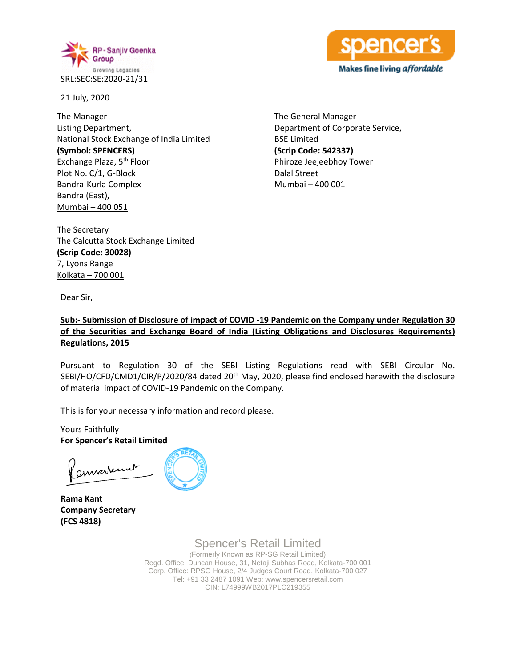



21 July, 2020

The Manager Listing Department, National Stock Exchange of India Limited **(Symbol: SPENCERS)** Exchange Plaza, 5<sup>th</sup> Floor Plot No. C/1, G-Block Bandra-Kurla Complex Bandra (East), Mumbai – 400 051

The General Manager Department of Corporate Service, BSE Limited **(Scrip Code: 542337)** Phiroze Jeejeebhoy Tower Dalal Street Mumbai – 400 001

The Secretary The Calcutta Stock Exchange Limited **(Scrip Code: 30028)** 7, Lyons Range Kolkata – 700 001

Dear Sir,

### **Sub:- Submission of Disclosure of impact of COVID -19 Pandemic on the Company under Regulation 30 of the Securities and Exchange Board of India (Listing Obligations and Disclosures Requirements) Regulations, 2015**

Pursuant to Regulation 30 of the SEBI Listing Regulations read with SEBI Circular No. SEBI/HO/CFD/CMD1/CIR/P/2020/84 dated 20th May, 2020, please find enclosed herewith the disclosure of material impact of COVID-19 Pandemic on the Company.

This is for your necessary information and record please.

Yours Faithfully **For Spencer's Retail Limited**

envertunt

**Rama Kant Company Secretary (FCS 4818)**

Spencer's Retail Limited (Formerly Known as RP-SG Retail Limited) Regd. Office: Duncan House, 31, Netaji Subhas Road, Kolkata-700 001 Corp. Office: RPSG House, 2/4 Judges Court Road, Kolkata-700 027 Tel: +91 33 2487 1091 Web: www.spencersretail.com CIN: L74999WB2017PLC219355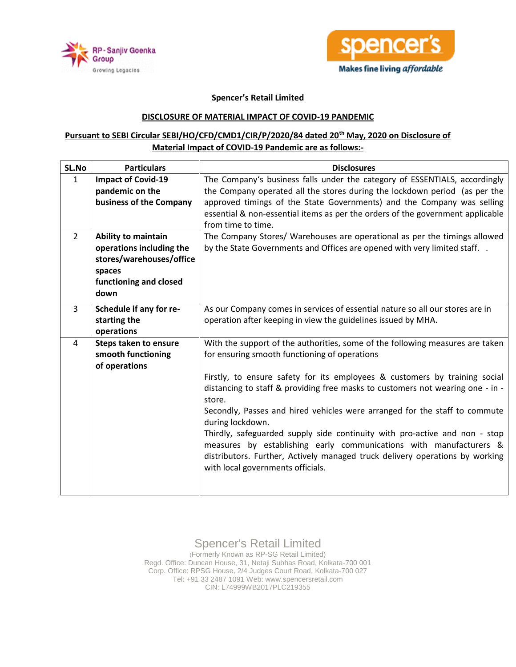



### **Spencer's Retail Limited**

#### **DISCLOSURE OF MATERIAL IMPACT OF COVID-19 PANDEMIC**

## **Pursuant to SEBI Circular SEBI/HO/CFD/CMD1/CIR/P/2020/84 dated 20th May, 2020 on Disclosure of Material Impact of COVID-19 Pandemic are as follows:-**

| SL.No                          | <b>Particulars</b>                                                                               | <b>Disclosures</b>                                                                                                                                                                                                                                                                                                                                                                                                                                                                                                                                                                                                                                                                  |
|--------------------------------|--------------------------------------------------------------------------------------------------|-------------------------------------------------------------------------------------------------------------------------------------------------------------------------------------------------------------------------------------------------------------------------------------------------------------------------------------------------------------------------------------------------------------------------------------------------------------------------------------------------------------------------------------------------------------------------------------------------------------------------------------------------------------------------------------|
| $\mathbf{1}$<br>$\overline{2}$ | <b>Impact of Covid-19</b><br>pandemic on the<br>business of the Company<br>Ability to maintain   | The Company's business falls under the category of ESSENTIALS, accordingly<br>the Company operated all the stores during the lockdown period (as per the<br>approved timings of the State Governments) and the Company was selling<br>essential & non-essential items as per the orders of the government applicable<br>from time to time.                                                                                                                                                                                                                                                                                                                                          |
|                                | operations including the<br>stores/warehouses/office<br>spaces<br>functioning and closed<br>down | The Company Stores/ Warehouses are operational as per the timings allowed<br>by the State Governments and Offices are opened with very limited staff. .                                                                                                                                                                                                                                                                                                                                                                                                                                                                                                                             |
| 3                              | Schedule if any for re-<br>starting the<br>operations                                            | As our Company comes in services of essential nature so all our stores are in<br>operation after keeping in view the guidelines issued by MHA.                                                                                                                                                                                                                                                                                                                                                                                                                                                                                                                                      |
| 4                              | Steps taken to ensure<br>smooth functioning<br>of operations                                     | With the support of the authorities, some of the following measures are taken<br>for ensuring smooth functioning of operations<br>Firstly, to ensure safety for its employees & customers by training social<br>distancing to staff & providing free masks to customers not wearing one - in -<br>store.<br>Secondly, Passes and hired vehicles were arranged for the staff to commute<br>during lockdown.<br>Thirdly, safeguarded supply side continuity with pro-active and non - stop<br>measures by establishing early communications with manufacturers &<br>distributors. Further, Actively managed truck delivery operations by working<br>with local governments officials. |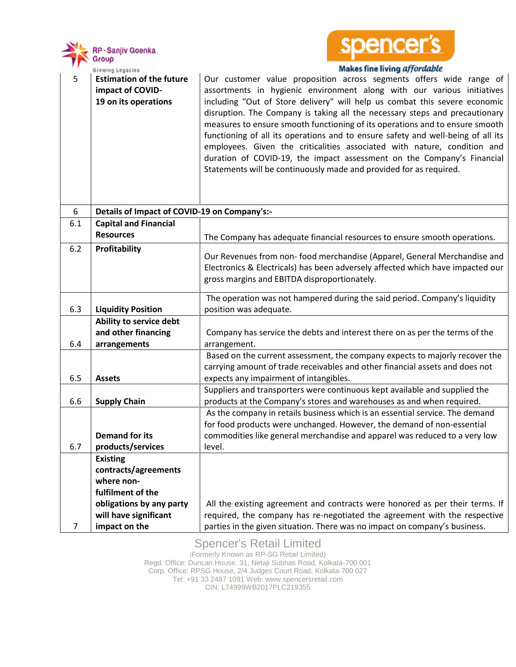



### **Makes fine living affordable**

| 5   | <b>Estimation of the future</b><br>impact of COVID-<br>19 on its operations | Our customer value proposition across segments offers wide range of<br>assortments in hygienic environment along with our various initiatives<br>including "Out of Store delivery" will help us combat this severe economic<br>disruption. The Company is taking all the necessary steps and precautionary<br>measures to ensure smooth functioning of its operations and to ensure smooth<br>functioning of all its operations and to ensure safety and well-being of all its<br>employees. Given the criticalities associated with nature, condition and<br>duration of COVID-19, the impact assessment on the Company's Financial<br>Statements will be continuously made and provided for as required. |  |
|-----|-----------------------------------------------------------------------------|------------------------------------------------------------------------------------------------------------------------------------------------------------------------------------------------------------------------------------------------------------------------------------------------------------------------------------------------------------------------------------------------------------------------------------------------------------------------------------------------------------------------------------------------------------------------------------------------------------------------------------------------------------------------------------------------------------|--|
| 6   | Details of Impact of COVID-19 on Company's:-                                |                                                                                                                                                                                                                                                                                                                                                                                                                                                                                                                                                                                                                                                                                                            |  |
| 6.1 | <b>Capital and Financial</b>                                                |                                                                                                                                                                                                                                                                                                                                                                                                                                                                                                                                                                                                                                                                                                            |  |
|     | <b>Resources</b>                                                            | The Company has adequate financial resources to ensure smooth operations.                                                                                                                                                                                                                                                                                                                                                                                                                                                                                                                                                                                                                                  |  |
| 6.2 | <b>Profitability</b>                                                        | Our Revenues from non- food merchandise (Apparel, General Merchandise and<br>Electronics & Electricals) has been adversely affected which have impacted our<br>gross margins and EBITDA disproportionately.                                                                                                                                                                                                                                                                                                                                                                                                                                                                                                |  |
|     |                                                                             | The operation was not hampered during the said period. Company's liquidity                                                                                                                                                                                                                                                                                                                                                                                                                                                                                                                                                                                                                                 |  |
| 6.3 | <b>Liquidity Position</b>                                                   | position was adequate.                                                                                                                                                                                                                                                                                                                                                                                                                                                                                                                                                                                                                                                                                     |  |
|     | Ability to service debt                                                     |                                                                                                                                                                                                                                                                                                                                                                                                                                                                                                                                                                                                                                                                                                            |  |
|     | and other financing                                                         | Company has service the debts and interest there on as per the terms of the                                                                                                                                                                                                                                                                                                                                                                                                                                                                                                                                                                                                                                |  |
| 6.4 | arrangements                                                                | arrangement.                                                                                                                                                                                                                                                                                                                                                                                                                                                                                                                                                                                                                                                                                               |  |
|     |                                                                             | Based on the current assessment, the company expects to majorly recover the<br>carrying amount of trade receivables and other financial assets and does not                                                                                                                                                                                                                                                                                                                                                                                                                                                                                                                                                |  |
| 6.5 | <b>Assets</b>                                                               | expects any impairment of intangibles.                                                                                                                                                                                                                                                                                                                                                                                                                                                                                                                                                                                                                                                                     |  |
|     |                                                                             | Suppliers and transporters were continuous kept available and supplied the                                                                                                                                                                                                                                                                                                                                                                                                                                                                                                                                                                                                                                 |  |
| 6.6 | <b>Supply Chain</b>                                                         | products at the Company's stores and warehouses as and when required.                                                                                                                                                                                                                                                                                                                                                                                                                                                                                                                                                                                                                                      |  |
|     |                                                                             | As the company in retails business which is an essential service. The demand                                                                                                                                                                                                                                                                                                                                                                                                                                                                                                                                                                                                                               |  |
|     |                                                                             | for food products were unchanged. However, the demand of non-essential                                                                                                                                                                                                                                                                                                                                                                                                                                                                                                                                                                                                                                     |  |
|     | <b>Demand for its</b>                                                       | commodities like general merchandise and apparel was reduced to a very low                                                                                                                                                                                                                                                                                                                                                                                                                                                                                                                                                                                                                                 |  |
| 6.7 | products/services                                                           | level.                                                                                                                                                                                                                                                                                                                                                                                                                                                                                                                                                                                                                                                                                                     |  |
|     | <b>Existing</b>                                                             |                                                                                                                                                                                                                                                                                                                                                                                                                                                                                                                                                                                                                                                                                                            |  |
|     | contracts/agreements<br>where non-                                          |                                                                                                                                                                                                                                                                                                                                                                                                                                                                                                                                                                                                                                                                                                            |  |
|     | fulfilment of the                                                           |                                                                                                                                                                                                                                                                                                                                                                                                                                                                                                                                                                                                                                                                                                            |  |
|     | obligations by any party                                                    | All the existing agreement and contracts were honored as per their terms. If                                                                                                                                                                                                                                                                                                                                                                                                                                                                                                                                                                                                                               |  |
|     | will have significant                                                       | required, the company has re-negotiated the agreement with the respective                                                                                                                                                                                                                                                                                                                                                                                                                                                                                                                                                                                                                                  |  |
| 7   | impact on the                                                               | parties in the given situation. There was no impact on company's business.                                                                                                                                                                                                                                                                                                                                                                                                                                                                                                                                                                                                                                 |  |

# Spencer's Retail Limited

(Formerly Known as RP-SG Retail Limited) Regd. Office: Duncan House, 31, Netaji Subhas Road, Kolkata-700 001 Corp. Office: RPSG House, 2/4 Judges Court Road, Kolkata-700 027 Tel: +91 33 2487 1091 Web: www.spencersretail.com CIN: L74999WB2017PLC219355